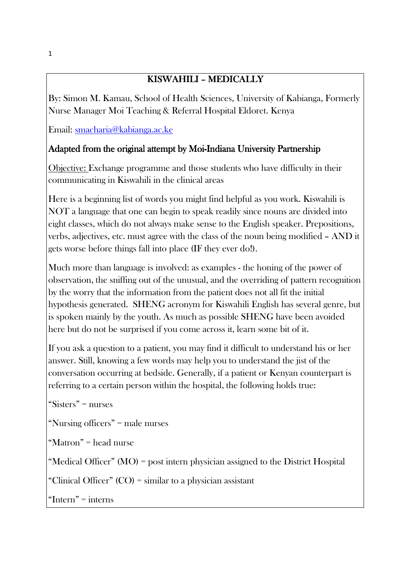# KISWAHILI - MEDICALLY

By: Simon M. Kamau, School of Health Sciences, University of Kabianga, Formerly Nurse Manager Moi Teaching & Referral Hospital Eldoret. Kenya

Email: smacharia@kabianga.ac.ke

# Adapted from the original attempt by Moi-Indiana University Partnership

Objective: Exchange programme and those students who have difficulty in their communicating in Kiswahili in the clinical areas

Here is a beginning list of words you might find helpful as you work. Kiswahili is NOT a language that one can begin to speak readily since nouns are divided into eight classes, which do not always make sense to the English speaker. Prepositions, verbs, adjectives, etc. must agree with the class of the noun being modified – AND it gets worse before things fall into place (IF they ever do!).

Much more than language is involved: as examples - the honing of the power of observation, the sniffing out of the unusual, and the overriding of pattern recognition by the worry that the information from the patient does not all fit the initial hypothesis generated. SHENG acronym for Kiswahili English has several genre, but is spoken mainly by the youth. As much as possible SHENG have been avoided here but do not be surprised if you come across it, learn some bit of it.

If you ask a question to a patient, you may find it difficult to understand his or her answer. Still, knowing a few words may help you to understand the jist of the conversation occurring at bedside. Generally, if a patient or Kenyan counterpart is referring to a certain person within the hospital, the following holds true:

"Sisters" = nurses

"Nursing officers" = male nurses

"Matron" = head nurse

"Medical Officer" (MO) = post intern physician assigned to the District Hospital

"Clinical Officer" (CO) = similar to a physician assistant

"Intern" = interns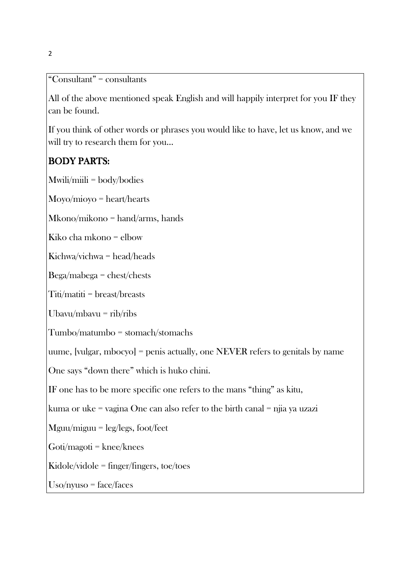"Consultant" = consultants

All of the above mentioned speak English and will happily interpret for you IF they can be found.

If you think of other words or phrases you would like to have, let us know, and we will try to research them for you…

# BODY PARTS:

Mwili/miili = body/bodies

Moyo/mioyo = heart/hearts

Mkono/mikono = hand/arms, hands

Kiko cha mkono = elbow

Kichwa/vichwa = head/heads

Bega/mabega = chest/chests

Titi/matiti = breast/breasts

Ubavu/mbavu =  $\frac{ri}{i}$ ribs

Tumbo/matumbo = stomach/stomachs

uume, [vulgar, mbocyo] = penis actually, one NEVER refers to genitals by name

One says "down there" which is huko chini.

IF one has to be more specific one refers to the mans "thing" as kitu,

kuma or uke = vagina One can also refer to the birth canal = njia ya uzazi

Mguu/miguu = leg/legs, foot/feet

 $Goti/magoti = knee/knes$ 

Kidole/vidole = finger/fingers, toe/toes

Uso/nyuso = face/faces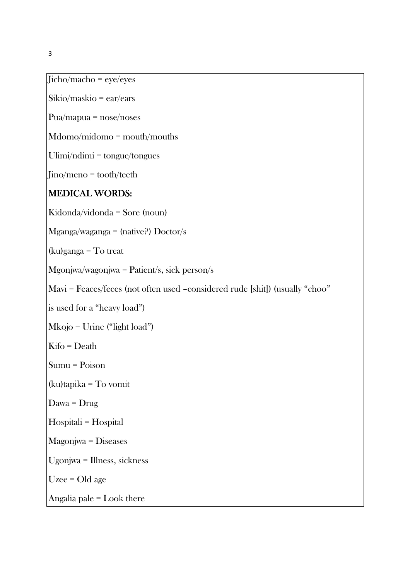Jicho/macho = eye/eyes

Sikio/maskio = ear/ears

Pua/mapua = nose/noses

Mdomo/midomo = mouth/mouths

Ulimi/ndimi = tongue/tongues

Jino/meno = tooth/teeth

#### MEDICAL WORDS:

Kidonda/vidonda = Sore (noun)

Mganga/waganga = (native?) Doctor/s

(ku)ganga = To treat

Mgonjwa/wagonjwa = Patient/s, sick person/s

Mavi = Feaces/feces (not often used –considered rude [shit]) (usually "choo"

is used for a "heavy load")

Mkojo = Urine ("light load")

Kifo = Death

Sumu = Poison

(ku)tapika = To vomit

Dawa = Drug

Hospitali = Hospital

Magonjwa = Diseases

Ugonjwa = Illness, sickness

Uzee = Old age

Angalia pale = Look there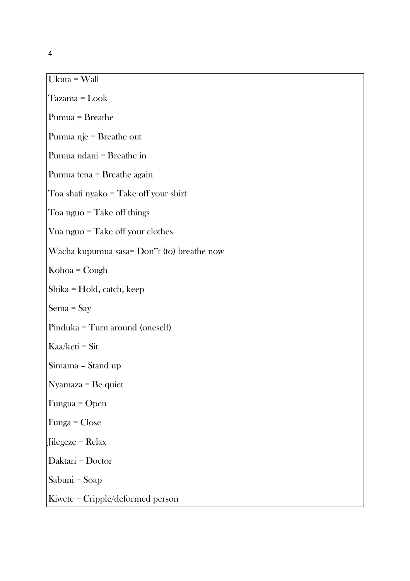Ukuta = Wall

Tazama = Look

Pumua = Breathe

Pumua nje = Breathe out

Pumua ndani = Breathe in

Pumua tena = Breathe again

Toa shati nyako = Take off your shirt

Toa nguo = Take off things

Vua nguo = Take off your clothes

Wacha kupumua sasa= Don"t (to) breathe now

Kohoa = Cough

Shika = Hold, catch, keep

Sema = Say

Pinduka = Turn around (oneself)

Kaa/keti = Sit

Simama – Stand up

Nyamaza = Be quiet

Fungua = Open

Funga = Close

Jilegeze = Relax

Daktari = Doctor

Sabuni = Soap

Kiwete = Cripple/deformed person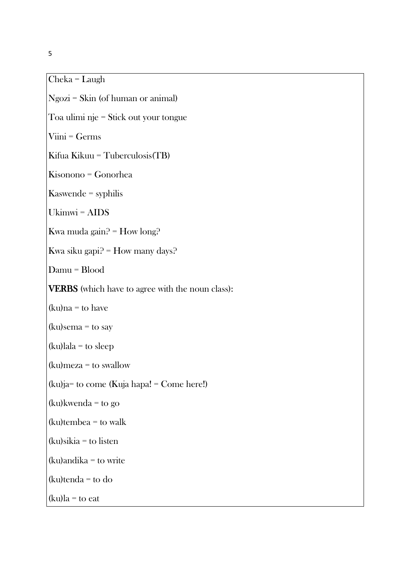Cheka = Laugh

Ngozi = Skin (of human or animal) Toa ulimi nje = Stick out your tongue Viini = Germs Kifua Kikuu = Tuberculosis(TB) Kisonono = Gonorhea Kaswende = syphilis Ukimwi = AIDS Kwa muda gain? = How long? Kwa siku gapi? = How many days? Damu = Blood VERBS (which have to agree with the noun class):  $(ku)na = to have$  $(ku)$ sema = to say (ku)lala = to sleep (ku)meza = to swallow (ku)ja= to come (Kuja hapa! = Come here!) (ku)kwenda = to go (ku)tembea = to walk (ku)sikia = to listen (ku)andika = to write (ku)tenda = to do

 $(ku)$ la = to eat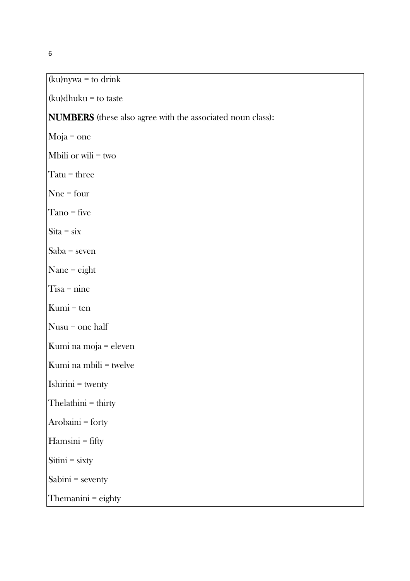## (ku)nywa = to drink

(ku)dhuku = to taste

### NUMBERS (these also agree with the associated noun class):

Moja = one

Mbili or wili = two

Tatu = three

Nne = four

Tano = five

 $\text{Sita} = \text{six}$ 

Saba = seven

Nane = eight

Tisa = nine

 $Kumi = ten$ 

Nusu = one half

Kumi na moja = eleven

Kumi na mbili = twelve

Ishirini = twenty

Thelathini = thirty

Arobaini = forty

Hamsini = fifty

Sitini = sixty

Sabini = seventy

Themanini = eighty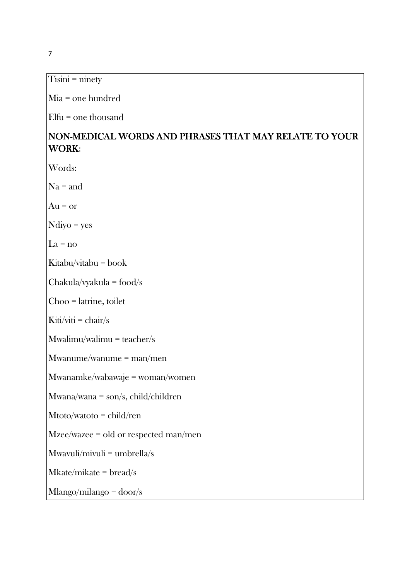Tisini = ninety

Mia = one hundred

Elfu = one thousand

# NON-MEDICAL WORDS AND PHRASES THAT MAY RELATE TO YOUR WORK:

Words:

 $Na = and$ 

 $Au = or$ 

Ndiyo = yes

 $La = no$ 

Kitabu/vitabu = book

Chakula/vyakula = food/s

Choo = latrine, toilet

Kiti/viti =  $\text{chair/s}$ 

 $Mw$ alimu/walimu = teacher/s

Mwanume/wanume = man/men

Mwanamke/wabawaje = woman/women

Mwana/wana = son/s, child/children

Mtoto/watoto = child/ren

Mzee/wazee = old or respected man/men

Mwavuli/mivuli = umbrella/s

Mkate/mikate = bread/s

Mlango/milango = door/s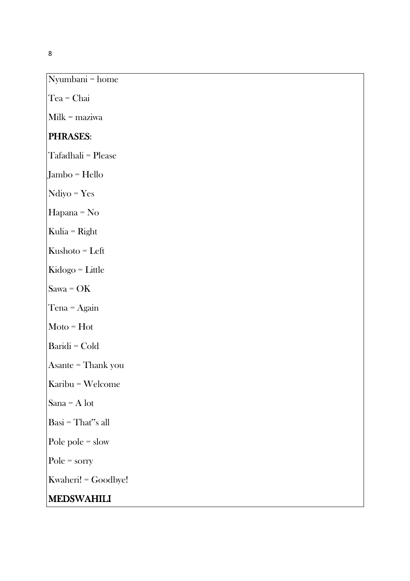Nyumbani = home

Tea = Chai

Milk = maziwa

# PHRASES:

Tafadhali = Please

Jambo = Hello

Ndiyo = Yes

Hapana = No

Kulia = Right

Kushoto = Left

Kidogo = Little

Sawa = OK

Tena = Again

Moto = Hot

Baridi = Cold

Asante = Thank you

Karibu = Welcome

Sana = A lot

Basi = That"s all

Pole pole = slow

Pole = sorry

Kwaheri! = Goodbye!

#### MEDSWAHILI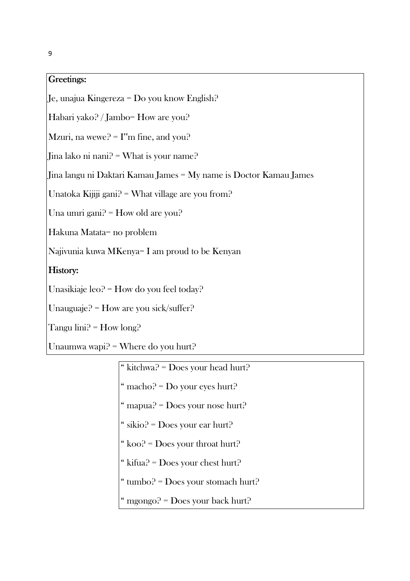#### Greetings: Greetings:

Je, unajua Kingereza = Do you know English?

Habari yako? / Jambo= How are you?

Mzuri, na wewe?  $= I^{\prime\prime}$ m fine, and you?

Jina lako ni nani? = What is your name?

Jina langu ni Daktari Kamau James = My name is Doctor Kamau James

Unatoka Kijiji gani? = What village are you from?

Una umri gani? = How old are you?

Hakuna Matata= no problem

Najivunia kuwa MKenya= I am proud to be Kenyan

#### History:

Unasikiaje leo? = How do you feel today?

Unauguaje? = How are you sick/suffer?

Tangu  $\text{lini}^{\Omega} = \text{How long}^{\Omega}$ 

Unaumwa wapi? = Where do you hurt?

| " kitchwa? = Does your head hurt?  |
|------------------------------------|
| " macho? = $Do$ your eyes hurt?    |
| " mapua? = Does your nose hurt?    |
| " sikio? = Does your ear hurt?     |
| " koo? = Does your throat hurt?    |
| " kifua? = Does your chest hurt?   |
| " tumbo? = Does your stomach hurt? |
| " mgongo? = Does your back hurt?   |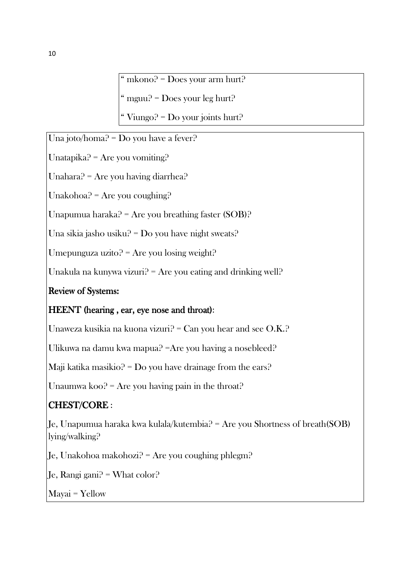" mkono? = Does your arm hurt?

" mguu? = Does your leg hurt?

" Viungo? =  $Do$  your joints hurt?

Una joto/homa? = Do you have a fever?

Unatapika? = Are you vomiting?

Unahara? = Are you having diarrhea?

Unakohoa? = Are you coughing?

Unapumua haraka? = Are you breathing faster  $(SOB)$ ?

Una sikia jasho usiku? = Do you have night sweats?

Umepunguza uzito? = Are you losing weight?

Unakula na kunywa vizuri? = Are you eating and drinking well?

# Review of Systems:

# HEENT (hearing , ear, eye nose and throat):

Unaweza kusikia na kuona vizuri? = Can you hear and see O.K.?

Ulikuwa na damu kwa mapua? =Are you having a nosebleed?

Maji katika masikio? = Do you have drainage from the ears?

Unaumwa koo? = Are you having pain in the throat?

# CHEST/CORE :

Je, Unapumua haraka kwa kulala/kutembia? = Are you Shortness of breath(SOB) lying/walking?

 $Je$ , Unakohoa makohozi? = Are you coughing phlegm?

Je, Rangi gani? = What color?

Mayai = Yellow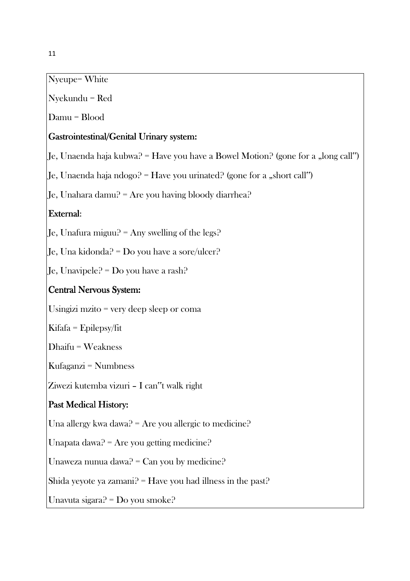# Nyeupe= White

Nyekundu = Red

Damu = Blood

#### Gastrointestinal/Genital Urinary system:

Je, Unaenda haja kubwa? = Have you have a Bowel Motion? (gone for a "long call")

Je, Unaenda haja ndogo? = Have you urinated? (gone for a "short call")

 $\left| \int f(x) \right|$  Equid Equilibrary 1 are vou having bloody diarrhea?

#### External:

Je, Unafura miguu? = Any swelling of the legs?

Je, Una kidonda? = Do you have a sore/ulcer?

Je, Unavipele? = Do you have a rash?

### Central Nervous System:

Usingizi mzito = very deep sleep or coma

Kifafa = Epilepsy/fit

Dhaifu = Weakness

Kufaganzi = Numbness

Ziwezi kutemba vizuri – I can"t walk right

### Past Medical History:

Una allergy kwa dawa? = Are you allergic to medicine?

Unapata dawa? = Are you getting medicine?

Unaweza nunua dawa? = Can you by medicine?

Shida yeyote ya zamani?  $=$  Have you had illness in the past?

Unavuta sigara? = Do you smoke?